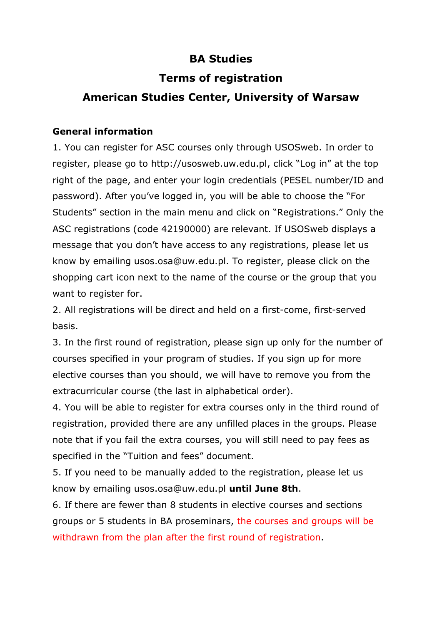### **BA Studies**

### **Terms of registration**

# **American Studies Center, University of Warsaw**

### **General information**

1. You can register for ASC courses only through USOSweb. In order to register, please go to http://usosweb.uw.edu.pl, click "Log in" at the top right of the page, and enter your login credentials (PESEL number/ID and password). After you've logged in, you will be able to choose the "For Students" section in the main menu and click on "Registrations." Only the ASC registrations (code 42190000) are relevant. If USOSweb displays a message that you don't have access to any registrations, please let us know by emailing usos.osa@uw.edu.pl. To register, please click on the shopping cart icon next to the name of the course or the group that you want to register for.

2. All registrations will be direct and held on a first-come, first-served basis.

3. In the first round of registration, please sign up only for the number of courses specified in your program of studies. If you sign up for more elective courses than you should, we will have to remove you from the extracurricular course (the last in alphabetical order).

4. You will be able to register for extra courses only in the third round of registration, provided there are any unfilled places in the groups. Please note that if you fail the extra courses, you will still need to pay fees as specified in the "Tuition and fees" document.

5. If you need to be manually added to the registration, please let us know by emailing usos.osa@uw.edu.pl **until June 8th**.

6. If there are fewer than 8 students in elective courses and sections groups or 5 students in BA proseminars, the courses and groups will be withdrawn from the plan after the first round of registration.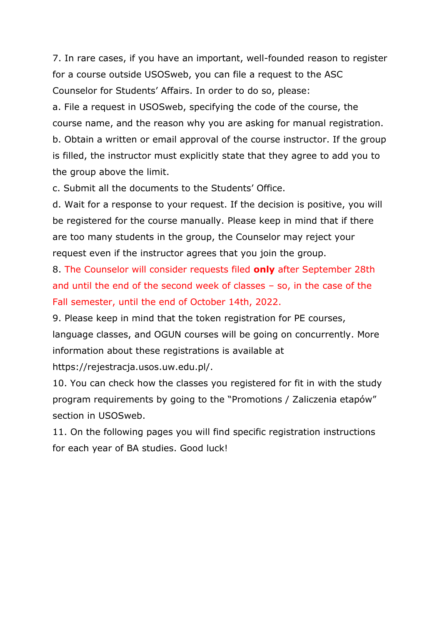7. In rare cases, if you have an important, well-founded reason to register for a course outside USOSweb, you can file a request to the ASC Counselor for Students' Affairs. In order to do so, please:

a. File a request in USOSweb, specifying the code of the course, the course name, and the reason why you are asking for manual registration. b. Obtain a written or email approval of the course instructor. If the group is filled, the instructor must explicitly state that they agree to add you to the group above the limit.

c. Submit all the documents to the Students' Office.

d. Wait for a response to your request. If the decision is positive, you will be registered for the course manually. Please keep in mind that if there are too many students in the group, the Counselor may reject your request even if the instructor agrees that you join the group.

8. The Counselor will consider requests filed **only** after September 28th and until the end of the second week of classes – so, in the case of the Fall semester, until the end of October 14th, 2022.

9. Please keep in mind that the token registration for PE courses, language classes, and OGUN courses will be going on concurrently. More information about these registrations is available at

https://rejestracja.usos.uw.edu.pl/.

10. You can check how the classes you registered for fit in with the study program requirements by going to the "Promotions / Zaliczenia etapów" section in USOSweb.

11. On the following pages you will find specific registration instructions for each year of BA studies. Good luck!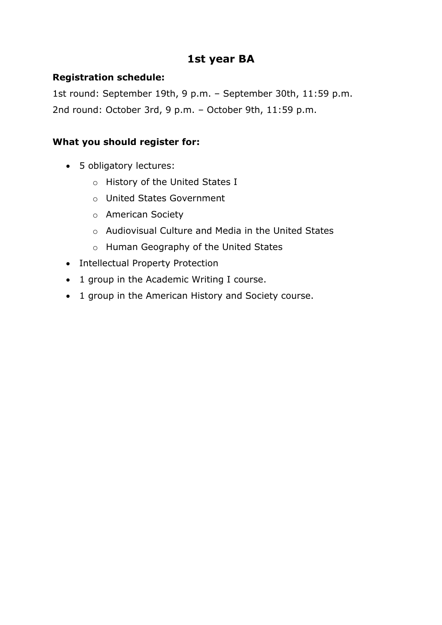### **1st year BA**

#### **Registration schedule:**

1st round: September 19th, 9 p.m. – September 30th, 11:59 p.m. 2nd round: October 3rd, 9 p.m. – October 9th, 11:59 p.m.

#### **What you should register for:**

- 5 obligatory lectures:
	- o History of the United States I
	- o United States Government
	- o American Society
	- o Audiovisual Culture and Media in the United States
	- o Human Geography of the United States
- Intellectual Property Protection
- 1 group in the Academic Writing I course.
- 1 group in the American History and Society course.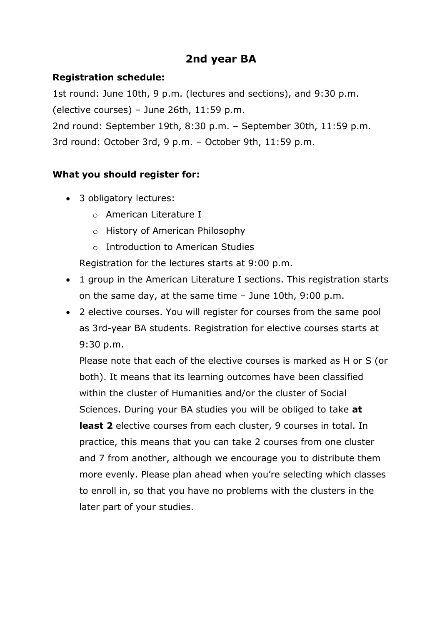### **2nd year BA**

### **Registration schedule:**

1st round: June 10th, 9 p.m. (lectures and sections), and 9:30 p.m.

(elective courses) – June 26th, 11:59 p.m.

2nd round: September 19th, 8:30 p.m. – September 30th, 11:59 p.m.

3rd round: October 3rd, 9 p.m. – October 9th, 11:59 p.m.

### **What you should register for:**

- 3 obligatory lectures:
	- o American Literature I
	- o History of American Philosophy
	- o Introduction to American Studies

Registration for the lectures starts at 9:00 p.m.

- 1 group in the American Literature I sections. This registration starts on the same day, at the same time – June 10th, 9:00 p.m.
- 2 elective courses. You will register for courses from the same pool as 3rd-year BA students. Registration for elective courses starts at 9:30 p.m.

Please note that each of the elective courses is marked as H or S (or both). It means that its learning outcomes have been classified within the cluster of Humanities and/or the cluster of Social Sciences. During your BA studies you will be obliged to take **at least 2** elective courses from each cluster, 9 courses in total. In practice, this means that you can take 2 courses from one cluster and 7 from another, although we encourage you to distribute them more evenly. Please plan ahead when you're selecting which classes to enroll in, so that you have no problems with the clusters in the later part of your studies.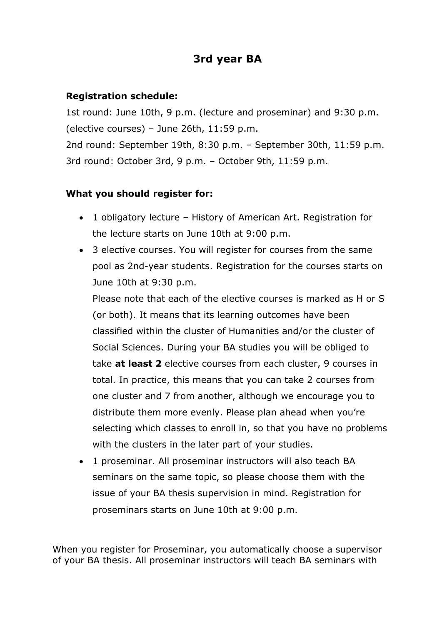## **3rd year BA**

### **Registration schedule:**

1st round: June 10th, 9 p.m. (lecture and proseminar) and 9:30 p.m. (elective courses) – June 26th, 11:59 p.m. 2nd round: September 19th, 8:30 p.m. – September 30th, 11:59 p.m. 3rd round: October 3rd, 9 p.m. – October 9th, 11:59 p.m.

#### **What you should register for:**

- 1 obligatory lecture History of American Art. Registration for the lecture starts on June 10th at 9:00 p.m.
- 3 elective courses. You will register for courses from the same pool as 2nd-year students. Registration for the courses starts on June 10th at 9:30 p.m.

Please note that each of the elective courses is marked as H or S (or both). It means that its learning outcomes have been classified within the cluster of Humanities and/or the cluster of Social Sciences. During your BA studies you will be obliged to take **at least 2** elective courses from each cluster, 9 courses in total. In practice, this means that you can take 2 courses from one cluster and 7 from another, although we encourage you to distribute them more evenly. Please plan ahead when you're selecting which classes to enroll in, so that you have no problems with the clusters in the later part of your studies.

 1 proseminar. All proseminar instructors will also teach BA seminars on the same topic, so please choose them with the issue of your BA thesis supervision in mind. Registration for proseminars starts on June 10th at 9:00 p.m.

When you register for Proseminar, you automatically choose a supervisor of your BA thesis. All proseminar instructors will teach BA seminars with